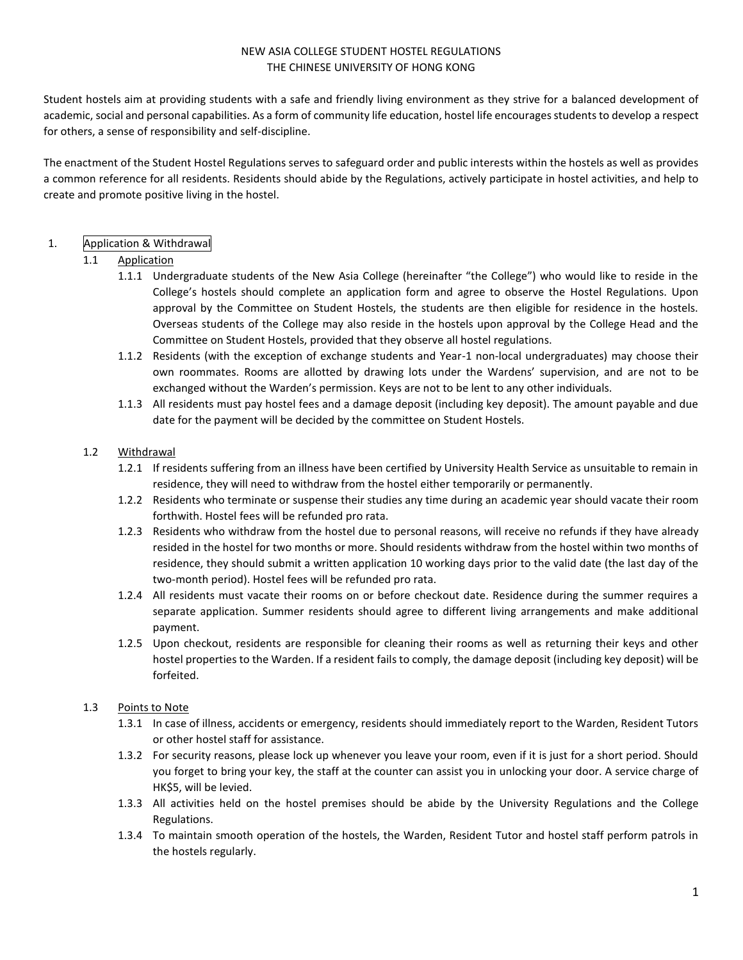#### NEW ASIA COLLEGE STUDENT HOSTEL REGULATIONS THE CHINESE UNIVERSITY OF HONG KONG

Student hostels aim at providing students with a safe and friendly living environment as they strive for a balanced development of academic, social and personal capabilities. As a form of community life education, hostel life encourages students to develop a respect for others, a sense of responsibility and self-discipline.

The enactment of the Student Hostel Regulations serves to safeguard order and public interests within the hostels as well as provides a common reference for all residents. Residents should abide by the Regulations, actively participate in hostel activities, and help to create and promote positive living in the hostel.

## 1. Application & Withdrawal

#### 1.1 Application

- 1.1.1 Undergraduate students of the New Asia College (hereinafter "the College") who would like to reside in the College's hostels should complete an application form and agree to observe the Hostel Regulations. Upon approval by the Committee on Student Hostels, the students are then eligible for residence in the hostels. Overseas students of the College may also reside in the hostels upon approval by the College Head and the Committee on Student Hostels, provided that they observe all hostel regulations.
- 1.1.2 Residents (with the exception of exchange students and Year-1 non-local undergraduates) may choose their own roommates. Rooms are allotted by drawing lots under the Wardens' supervision, and are not to be exchanged without the Warden's permission. Keys are not to be lent to any other individuals.
- 1.1.3 All residents must pay hostel fees and a damage deposit (including key deposit). The amount payable and due date for the payment will be decided by the committee on Student Hostels.

#### 1.2 Withdrawal

- 1.2.1 If residents suffering from an illness have been certified by University Health Service as unsuitable to remain in residence, they will need to withdraw from the hostel either temporarily or permanently.
- 1.2.2 Residents who terminate or suspense their studies any time during an academic year should vacate their room forthwith. Hostel fees will be refunded pro rata.
- 1.2.3 Residents who withdraw from the hostel due to personal reasons, will receive no refunds if they have already resided in the hostel for two months or more. Should residents withdraw from the hostel within two months of residence, they should submit a written application 10 working days prior to the valid date (the last day of the two-month period). Hostel fees will be refunded pro rata.
- 1.2.4 All residents must vacate their rooms on or before checkout date. Residence during the summer requires a separate application. Summer residents should agree to different living arrangements and make additional payment.
- 1.2.5 Upon checkout, residents are responsible for cleaning their rooms as well as returning their keys and other hostel properties to the Warden. If a resident fails to comply, the damage deposit (including key deposit) will be forfeited.

#### 1.3 Points to Note

- 1.3.1 In case of illness, accidents or emergency, residents should immediately report to the Warden, Resident Tutors or other hostel staff for assistance.
- 1.3.2 For security reasons, please lock up whenever you leave your room, even if it is just for a short period. Should you forget to bring your key, the staff at the counter can assist you in unlocking your door. A service charge of HK\$5, will be levied.
- 1.3.3 All activities held on the hostel premises should be abide by the University Regulations and the College Regulations.
- 1.3.4 To maintain smooth operation of the hostels, the Warden, Resident Tutor and hostel staff perform patrols in the hostels regularly.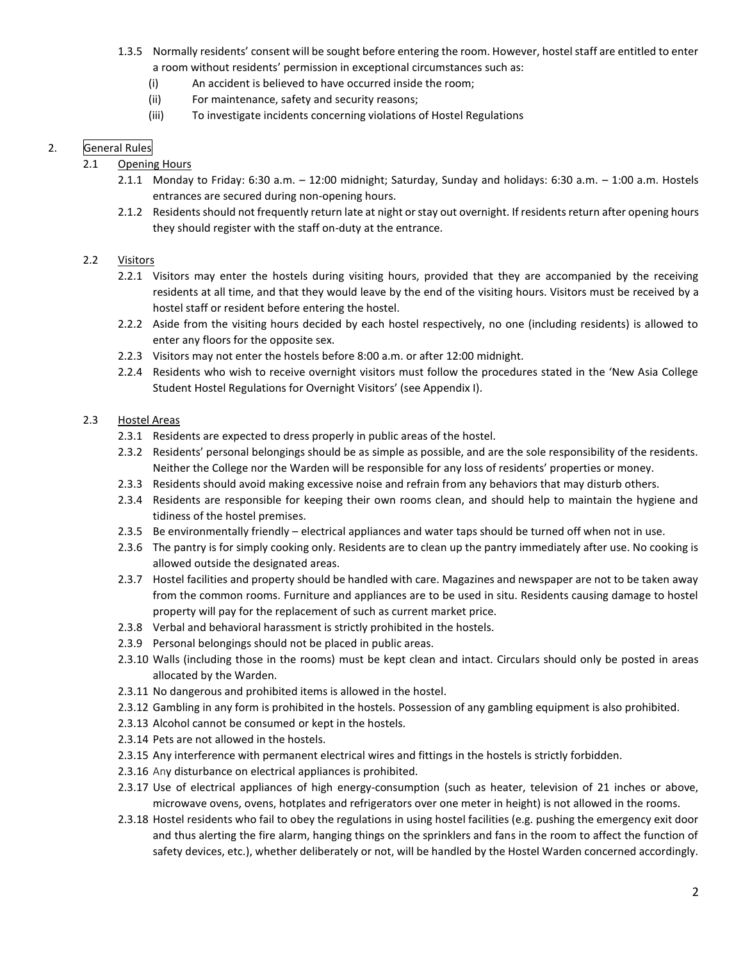- 1.3.5 Normally residents' consent will be sought before entering the room. However, hostel staff are entitled to enter a room without residents' permission in exceptional circumstances such as:
	- (i) An accident is believed to have occurred inside the room;
	- (ii) For maintenance, safety and security reasons;
	- (iii) To investigate incidents concerning violations of Hostel Regulations

# 2. General Rules

## 2.1 Opening Hours

- 2.1.1 Monday to Friday: 6:30 a.m. 12:00 midnight; Saturday, Sunday and holidays: 6:30 a.m. 1:00 a.m. Hostels entrances are secured during non-opening hours.
- 2.1.2 Residents should not frequently return late at night or stay out overnight. If residents return after opening hours they should register with the staff on-duty at the entrance.

## 2.2 Visitors

- 2.2.1 Visitors may enter the hostels during visiting hours, provided that they are accompanied by the receiving residents at all time, and that they would leave by the end of the visiting hours. Visitors must be received by a hostel staff or resident before entering the hostel.
- 2.2.2 Aside from the visiting hours decided by each hostel respectively, no one (including residents) is allowed to enter any floors for the opposite sex.
- 2.2.3 Visitors may not enter the hostels before 8:00 a.m. or after 12:00 midnight.
- 2.2.4 Residents who wish to receive overnight visitors must follow the procedures stated in the 'New Asia College Student Hostel Regulations for Overnight Visitors' (see Appendix I).

## 2.3 Hostel Areas

- 2.3.1 Residents are expected to dress properly in public areas of the hostel.
- 2.3.2 Residents' personal belongings should be as simple as possible, and are the sole responsibility of the residents. Neither the College nor the Warden will be responsible for any loss of residents' properties or money.
- 2.3.3 Residents should avoid making excessive noise and refrain from any behaviors that may disturb others.
- 2.3.4 Residents are responsible for keeping their own rooms clean, and should help to maintain the hygiene and tidiness of the hostel premises.
- 2.3.5 Be environmentally friendly electrical appliances and water taps should be turned off when not in use.
- 2.3.6 The pantry is for simply cooking only. Residents are to clean up the pantry immediately after use. No cooking is allowed outside the designated areas.
- 2.3.7 Hostel facilities and property should be handled with care. Magazines and newspaper are not to be taken away from the common rooms. Furniture and appliances are to be used in situ. Residents causing damage to hostel property will pay for the replacement of such as current market price.
- 2.3.8 Verbal and behavioral harassment is strictly prohibited in the hostels.
- 2.3.9 Personal belongings should not be placed in public areas.
- 2.3.10 Walls (including those in the rooms) must be kept clean and intact. Circulars should only be posted in areas allocated by the Warden.
- 2.3.11 No dangerous and prohibited items is allowed in the hostel.
- 2.3.12 Gambling in any form is prohibited in the hostels. Possession of any gambling equipment is also prohibited.
- 2.3.13 Alcohol cannot be consumed or kept in the hostels.
- 2.3.14 Pets are not allowed in the hostels.
- 2.3.15 Any interference with permanent electrical wires and fittings in the hostels is strictly forbidden.
- 2.3.16 Any disturbance on electrical appliances is prohibited.
- 2.3.17 Use of electrical appliances of high energy-consumption (such as heater, television of 21 inches or above, microwave ovens, ovens, hotplates and refrigerators over one meter in height) is not allowed in the rooms.
- 2.3.18 Hostel residents who fail to obey the regulations in using hostel facilities (e.g. pushing the emergency exit door and thus alerting the fire alarm, hanging things on the sprinklers and fans in the room to affect the function of safety devices, etc.), whether deliberately or not, will be handled by the Hostel Warden concerned accordingly.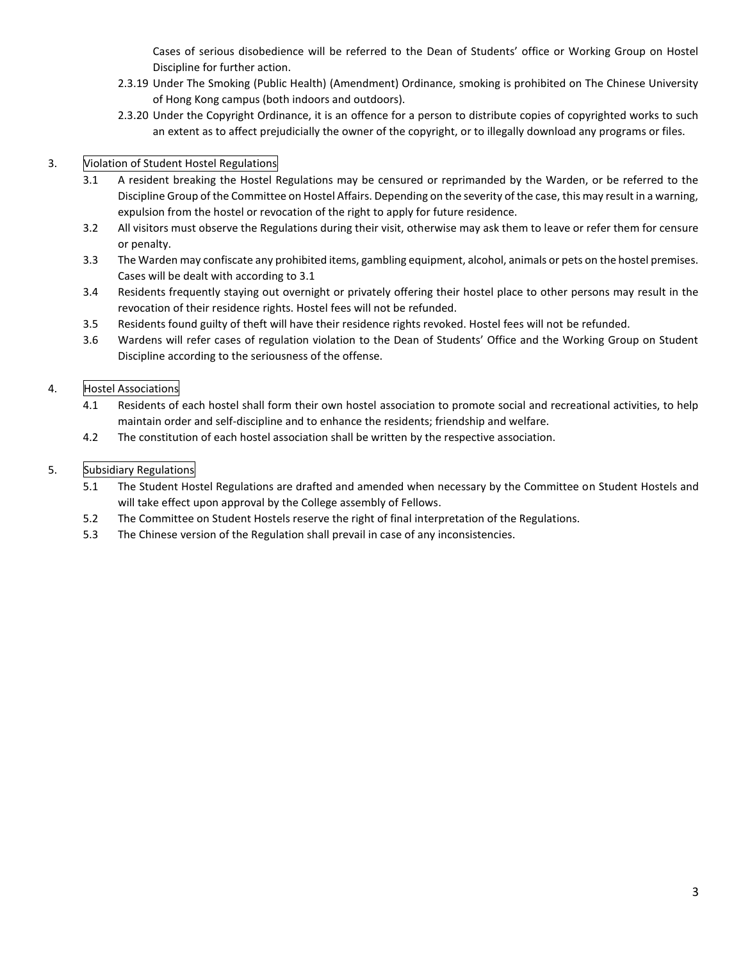Cases of serious disobedience will be referred to the Dean of Students' office or Working Group on Hostel Discipline for further action.

- 2.3.19 Under The Smoking (Public Health) (Amendment) Ordinance, smoking is prohibited on The Chinese University of Hong Kong campus (both indoors and outdoors).
- 2.3.20 Under the Copyright Ordinance, it is an offence for a person to distribute copies of copyrighted works to such an extent as to affect prejudicially the owner of the copyright, or to illegally download any programs or files.

# 3. Violation of Student Hostel Regulations

- 3.1 A resident breaking the Hostel Regulations may be censured or reprimanded by the Warden, or be referred to the Discipline Group of the Committee on Hostel Affairs. Depending on the severity of the case, this may result in a warning, expulsion from the hostel or revocation of the right to apply for future residence.
- 3.2 All visitors must observe the Regulations during their visit, otherwise may ask them to leave or refer them for censure or penalty.
- 3.3 The Warden may confiscate any prohibited items, gambling equipment, alcohol, animals or pets on the hostel premises. Cases will be dealt with according to 3.1
- 3.4 Residents frequently staying out overnight or privately offering their hostel place to other persons may result in the revocation of their residence rights. Hostel fees will not be refunded.
- 3.5 Residents found guilty of theft will have their residence rights revoked. Hostel fees will not be refunded.
- 3.6 Wardens will refer cases of regulation violation to the Dean of Students' Office and the Working Group on Student Discipline according to the seriousness of the offense.

# 4. Hostel Associations

- 4.1 Residents of each hostel shall form their own hostel association to promote social and recreational activities, to help maintain order and self-discipline and to enhance the residents; friendship and welfare.
- 4.2 The constitution of each hostel association shall be written by the respective association.

## 5. Subsidiary Regulations

- 5.1 The Student Hostel Regulations are drafted and amended when necessary by the Committee on Student Hostels and will take effect upon approval by the College assembly of Fellows.
- 5.2 The Committee on Student Hostels reserve the right of final interpretation of the Regulations.
- 5.3 The Chinese version of the Regulation shall prevail in case of any inconsistencies.